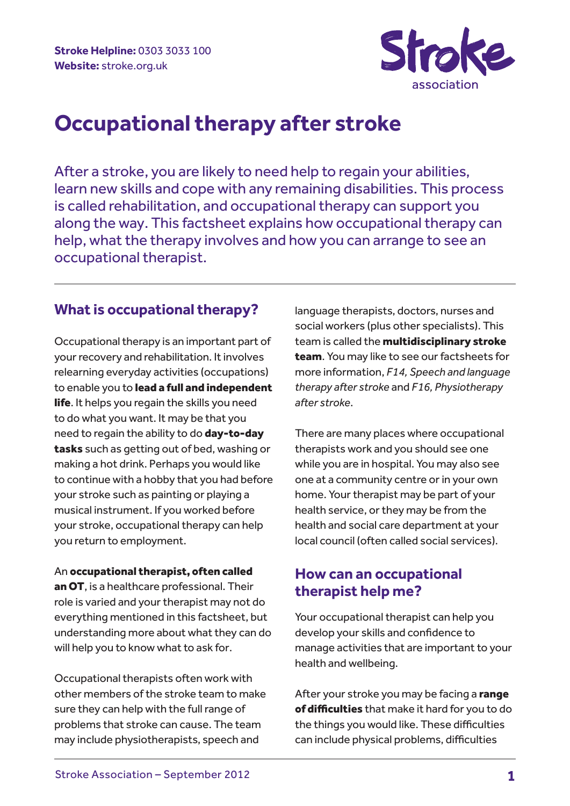

# **Occupational therapy after stroke**

After a stroke, you are likely to need help to regain your abilities, learn new skills and cope with any remaining disabilities. This process is called rehabilitation, and occupational therapy can support you along the way. This factsheet explains how occupational therapy can help, what the therapy involves and how you can arrange to see an occupational therapist.

### **What is occupational therapy?**

Occupational therapy is an important part of your recovery and rehabilitation. It involves relearning everyday activities (occupations) to enable you to lead a full and independent life. It helps you regain the skills you need to do what you want. It may be that you need to regain the ability to do day-to-day tasks such as getting out of bed, washing or making a hot drink. Perhaps you would like to continue with a hobby that you had before your stroke such as painting or playing a musical instrument. If you worked before your stroke, occupational therapy can help you return to employment.

An occupational therapist, often called an OT, is a healthcare professional. Their role is varied and your therapist may not do everything mentioned in this factsheet, but understanding more about what they can do will help you to know what to ask for.

Occupational therapists often work with other members of the stroke team to make sure they can help with the full range of problems that stroke can cause. The team may include physiotherapists, speech and

language therapists, doctors, nurses and social workers (plus other specialists). This team is called the multidisciplinary stroke team. You may like to see our factsheets for more information, *F14, Speech and language therapy after stroke* and *F16, Physiotherapy after stroke*.

There are many places where occupational therapists work and you should see one while you are in hospital. You may also see one at a community centre or in your own home. Your therapist may be part of your health service, or they may be from the health and social care department at your local council (often called social services).

### **How can an occupational therapist help me?**

Your occupational therapist can help you develop your skills and confidence to manage activities that are important to your health and wellbeing.

After your stroke you may be facing a range of difficulties that make it hard for you to do the things you would like. These difficulties can include physical problems, difficulties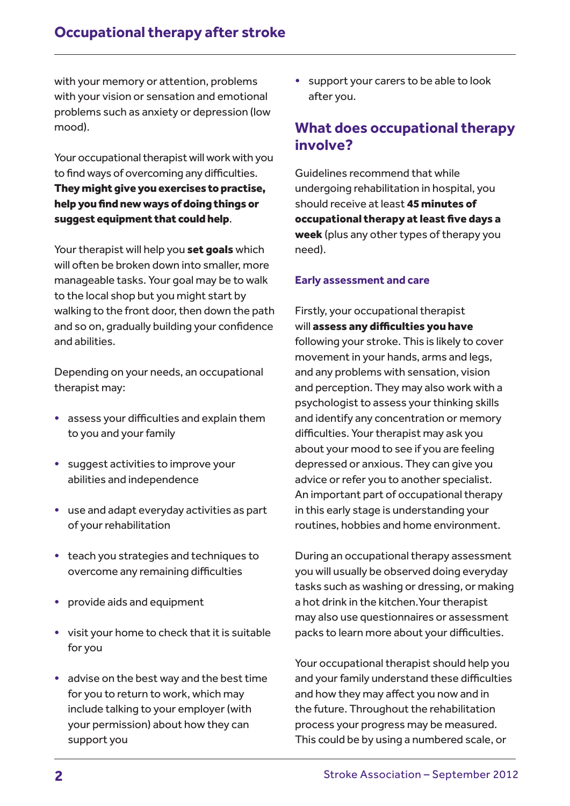with your memory or attention, problems with your vision or sensation and emotional problems such as anxiety or depression (low mood).

Your occupational therapist will work with you to find ways of overcoming any difficulties. They might give you exercises to practise, help you find new ways of doing things or suggest equipment that could help.

Your therapist will help you set goals which will often be broken down into smaller, more manageable tasks. Your goal may be to walk to the local shop but you might start by walking to the front door, then down the path and so on, gradually building your confidence and abilities.

Depending on your needs, an occupational therapist may:

- assess your difficulties and explain them to you and your family
- suggest activities to improve your abilities and independence
- use and adapt everyday activities as part of your rehabilitation
- teach you strategies and techniques to overcome any remaining difficulties
- provide aids and equipment
- visit your home to check that it is suitable for you
- advise on the best way and the best time for you to return to work, which may include talking to your employer (with your permission) about how they can support you

• support your carers to be able to look after you.

### **What does occupational therapy involve?**

Guidelines recommend that while undergoing rehabilitation in hospital, you should receive at least 45 minutes of occupational therapy at least five days a week (plus any other types of therapy you need).

#### **Early assessment and care**

Firstly, your occupational therapist will assess any difficulties you have following your stroke. This is likely to cover movement in your hands, arms and legs, and any problems with sensation, vision and perception. They may also work with a psychologist to assess your thinking skills and identify any concentration or memory difficulties. Your therapist may ask you about your mood to see if you are feeling depressed or anxious. They can give you advice or refer you to another specialist. An important part of occupational therapy in this early stage is understanding your routines, hobbies and home environment.

During an occupational therapy assessment you will usually be observed doing everyday tasks such as washing or dressing, or making a hot drink in the kitchen.Your therapist may also use questionnaires or assessment packs to learn more about your difficulties.

Your occupational therapist should help you and your family understand these difficulties and how they may affect you now and in the future. Throughout the rehabilitation process your progress may be measured. This could be by using a numbered scale, or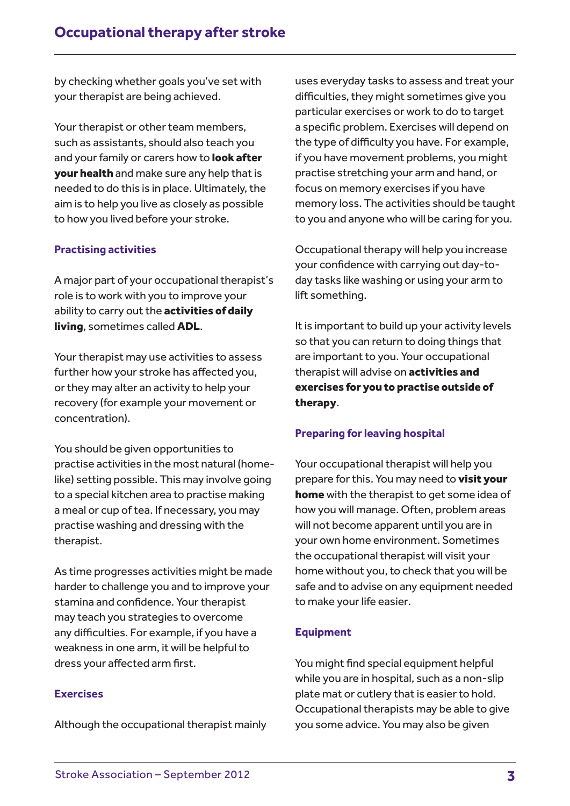by checking whether goals you've set with your therapist are being achieved.

Your therapist or other team members, such as assistants, should also teach you and your family or carers how to look after your health and make sure any help that is needed to do this is in place. Ultimately, the aim is to help you live as closely as possible to how you lived before your stroke.

#### **Practising activities**

A major part of your occupational therapist's role is to work with you to improve your ability to carry out the **activities of daily** living, sometimes called ADL.

Your therapist may use activities to assess further how your stroke has affected you, or they may alter an activity to help your recovery (for example your movement or concentration).

You should be given opportunities to practise activities in the most natural (homelike) setting possible. This may involve going to a special kitchen area to practise making a meal or cup of tea. If necessary, you may practise washing and dressing with the therapist.

As time progresses activities might be made harder to challenge you and to improve your stamina and confidence. Your therapist may teach you strategies to overcome any difficulties. For example, if you have a weakness in one arm, it will be helpful to dress your affected arm first.

#### **Exercises**

Although the occupational therapist mainly

uses everyday tasks to assess and treat your difficulties, they might sometimes give you particular exercises or work to do to target a specific problem. Exercises will depend on the type of difficulty you have. For example, if you have movement problems, you might practise stretching your arm and hand, or focus on memory exercises if you have memory loss. The activities should be taught to you and anyone who will be caring for you.

Occupational therapy will help you increase your confidence with carrying out day-today tasks like washing or using your arm to lift something.

It is important to build up your activity levels so that you can return to doing things that are important to you. Your occupational therapist will advise on activities and exercises for you to practise outside of therapy.

#### **Preparing for leaving hospital**

Your occupational therapist will help you prepare for this. You may need to visit your home with the therapist to get some idea of how you will manage. Often, problem areas will not become apparent until you are in your own home environment. Sometimes the occupational therapist will visit your home without you, to check that you will be safe and to advise on any equipment needed to make your life easier.

#### **Equipment**

You might find special equipment helpful while you are in hospital, such as a non-slip plate mat or cutlery that is easier to hold. Occupational therapists may be able to give you some advice. You may also be given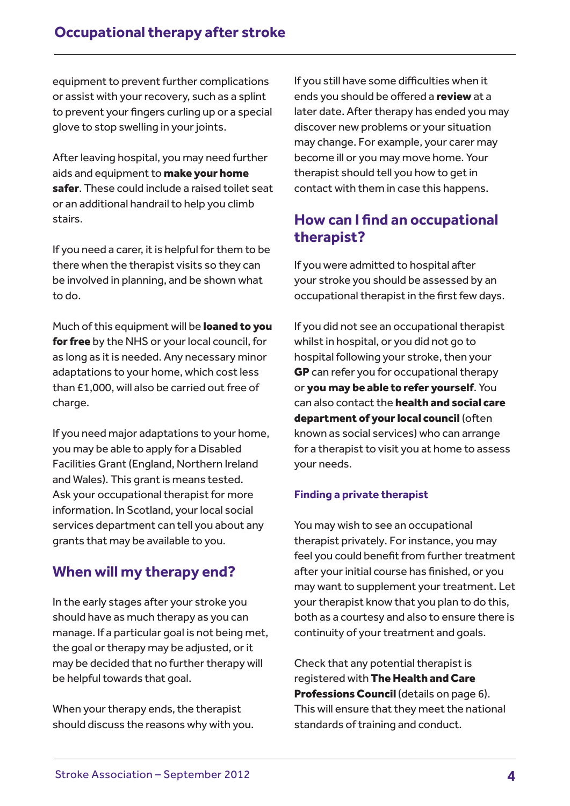equipment to prevent further complications or assist with your recovery, such as a splint to prevent your fingers curling up or a special glove to stop swelling in your joints.

After leaving hospital, you may need further aids and equipment to **make your home** safer. These could include a raised toilet seat or an additional handrail to help you climb stairs.

If you need a carer, it is helpful for them to be there when the therapist visits so they can be involved in planning, and be shown what to do.

Much of this equipment will be **loaned to you** for free by the NHS or your local council, for as long as it is needed. Any necessary minor adaptations to your home, which cost less than £1,000, will also be carried out free of charge.

If you need major adaptations to your home, you may be able to apply for a Disabled Facilities Grant (England, Northern Ireland and Wales). This grant is means tested. Ask your occupational therapist for more information. In Scotland, your local social services department can tell you about any grants that may be available to you.

### **When will my therapy end?**

In the early stages after your stroke you should have as much therapy as you can manage. If a particular goal is not being met, the goal or therapy may be adjusted, or it may be decided that no further therapy will be helpful towards that goal.

When your therapy ends, the therapist should discuss the reasons why with you.

If you still have some difficulties when it ends you should be offered a review at a later date. After therapy has ended you may discover new problems or your situation may change. For example, your carer may become ill or you may move home. Your therapist should tell you how to get in contact with them in case this happens.

## **How can I find an occupational therapist?**

If you were admitted to hospital after your stroke you should be assessed by an occupational therapist in the first few days.

If you did not see an occupational therapist whilst in hospital, or you did not go to hospital following your stroke, then your GP can refer you for occupational therapy or you may be able to refer yourself. You can also contact the **health and social care** department of your local council (often known as social services) who can arrange for a therapist to visit you at home to assess your needs.

#### **Finding a private therapist**

You may wish to see an occupational therapist privately. For instance, you may feel you could benefit from further treatment after your initial course has finished, or you may want to supplement your treatment. Let your therapist know that you plan to do this, both as a courtesy and also to ensure there is continuity of your treatment and goals.

Check that any potential therapist is registered with The Health and Care Professions Council (details on page 6). This will ensure that they meet the national standards of training and conduct.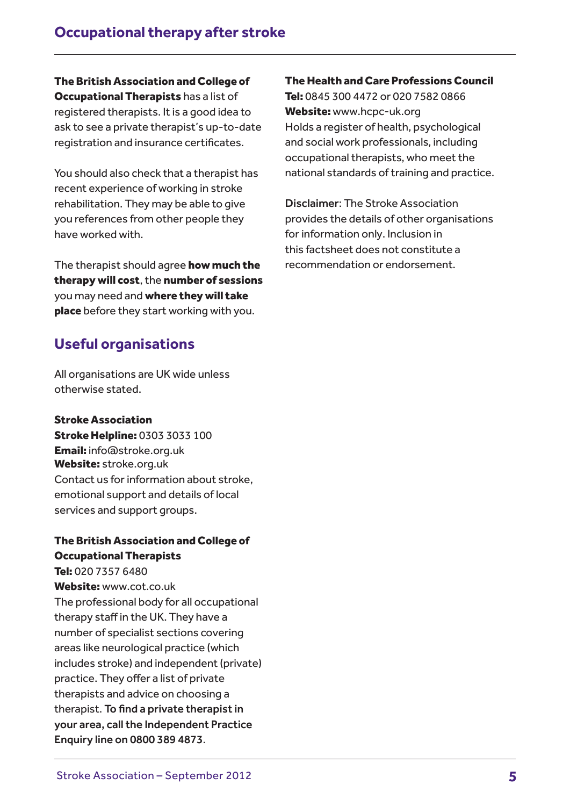The British Association and College of **Occupational Therapists has a list of** registered therapists. It is a good idea to ask to see a private therapist's up-to-date registration and insurance certificates.

You should also check that a therapist has recent experience of working in stroke rehabilitation. They may be able to give you references from other people they have worked with.

The therapist should agree how much the therapy will cost, the number of sessions you may need and where they will take place before they start working with you.

### **Useful organisations**

All organisations are UK wide unless otherwise stated.

Stroke Association Stroke Helpline: 0303 3033 100 Email: info@stroke.org.uk Website: stroke.org.uk Contact us for information about stroke, emotional support and details of local services and support groups.

#### The British Association and College of Occupational Therapists

Tel: 020 7357 6480 Website: www.cot.co.uk The professional body for all occupational therapy staff in the UK. They have a number of specialist sections covering areas like neurological practice (which includes stroke) and independent (private) practice. They offer a list of private therapists and advice on choosing a therapist. To find a private therapist in your area, call the Independent Practice Enquiry line on 0800 389 4873.

#### The Health and Care Professions Council

Tel: 0845 300 4472 or 020 7582 0866 Website: www.hcpc-uk.org Holds a register of health, psychological and social work professionals, including occupational therapists, who meet the national standards of training and practice.

Disclaimer: The Stroke Association provides the details of other organisations for information only. Inclusion in this factsheet does not constitute a recommendation or endorsement.